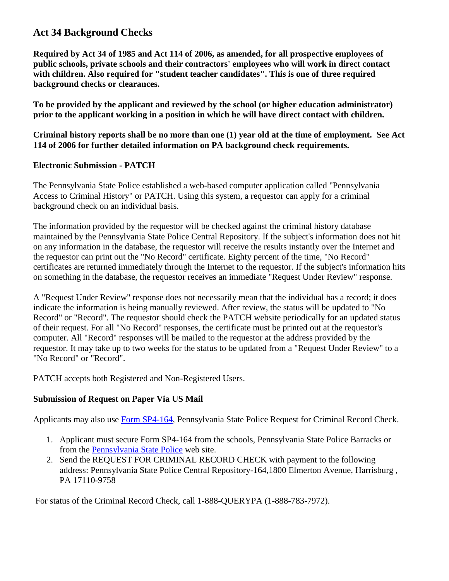## **Act 34 Background Checks**

**Required by Act 34 of 1985 and Act 114 of 2006, as amended, for all prospective employees of public schools, private schools and their contractors' employees who will work in direct contact with children. Also required for "student teacher candidates". This is one of three required background checks or clearances.**

**To be provided by the applicant and reviewed by the school (or higher education administrator) prior to the applicant working in a position in which he will have direct contact with children.**

**Criminal history reports shall be no more than one (1) year old at the time of employment. See Act 114 of 2006 for further detailed information on PA background check requirements.** 

## **Electronic Submission - PATCH**

The Pennsylvania State Police established a web-based computer application called "Pennsylvania Access to Criminal History" or PATCH. Using this system, a requestor can apply for a criminal background check on an individual basis.

The information provided by the requestor will be checked against the criminal history database maintained by the Pennsylvania State Police Central Repository. If the subject's information does not hit on any information in the database, the requestor will receive the results instantly over the Internet and the requestor can print out the "No Record" certificate. Eighty percent of the time, "No Record" certificates are returned immediately through the Internet to the requestor. If the subject's information hits on something in the database, the requestor receives an immediate "Request Under Review" response.

A "Request Under Review" response does not necessarily mean that the individual has a record; it does indicate the information is being manually reviewed. After review, the status will be updated to "No Record" or "Record". The requestor should check the PATCH website periodically for an updated status of their request. For all "No Record" responses, the certificate must be printed out at the requestor's computer. All "Record" responses will be mailed to the requestor at the address provided by the requestor. It may take up to two weeks for the status to be updated from a "Request Under Review" to a "No Record" or "Record".

PATCH accepts both Registered and Non-Registered Users.

## **Submission of Request on Paper Via US Mail**

Applicants may also use [Form SP4-164,](http://www.psp.pa.gov/Pages/Request-a-Criminal-History-Record.aspx#.U_YFDX7D85s) Pennsylvania State Police Request for Criminal Record Check.

- 1. Applicant must secure Form SP4-164 from the schools, Pennsylvania State Police Barracks or from the [Pennsylvania State Police](http://www.psp.pa.gov/Pages/Request-a-Criminal-History-Record.aspx#.U_YFDX7D85s) web site.
- 2. Send the REQUEST FOR CRIMINAL RECORD CHECK with payment to the following address: Pennsylvania State Police Central Repository-164,1800 Elmerton Avenue, Harrisburg , PA 17110-9758

For status of the Criminal Record Check, call 1-888-QUERYPA (1-888-783-7972).